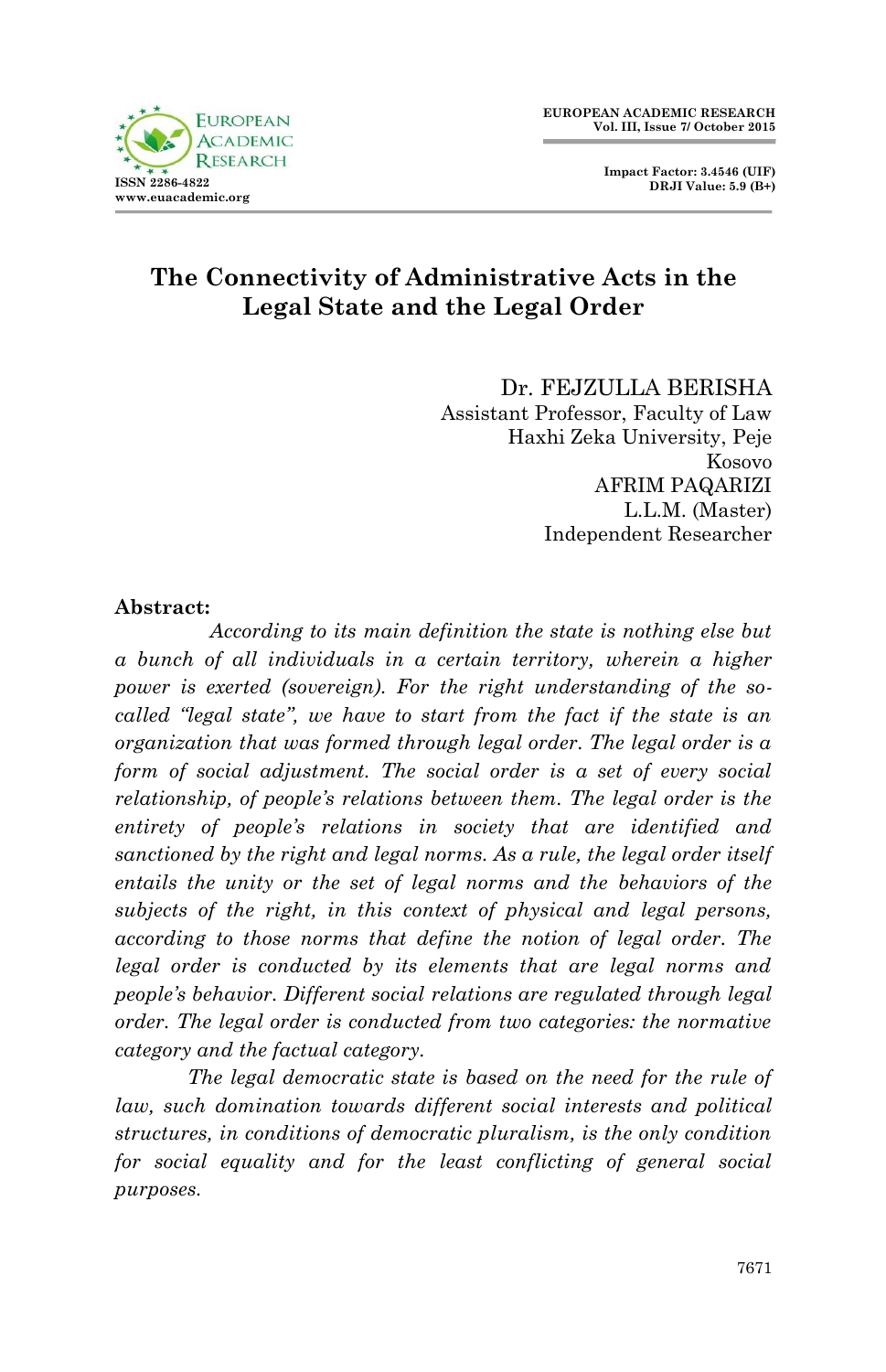

 **Impact Factor: 3.4546 (UIF) DRJI Value: 5.9 (B+)**

# **The Connectivity of Administrative Acts in the Legal State and the Legal Order**

Dr. FEJZULLA BERISHA Assistant Professor, Faculty of Law Haxhi Zeka University, Peje Kosovo AFRIM PAQARIZI L.L.M. (Master) Independent Researcher

#### **Abstract:**

 *According to its main definition the state is nothing else but a bunch of all individuals in a certain territory, wherein a higher power is exerted (sovereign). For the right understanding of the socalled "legal state", we have to start from the fact if the state is an organization that was formed through legal order. The legal order is a form of social adjustment. The social order is a set of every social relationship, of people's relations between them. The legal order is the entirety of people's relations in society that are identified and sanctioned by the right and legal norms. As a rule, the legal order itself entails the unity or the set of legal norms and the behaviors of the subjects of the right, in this context of physical and legal persons, according to those norms that define the notion of legal order. The legal order is conducted by its elements that are legal norms and people's behavior. Different social relations are regulated through legal order. The legal order is conducted from two categories: the normative category and the factual category.*

*The legal democratic state is based on the need for the rule of law, such domination towards different social interests and political structures, in conditions of democratic pluralism, is the only condition for social equality and for the least conflicting of general social purposes.*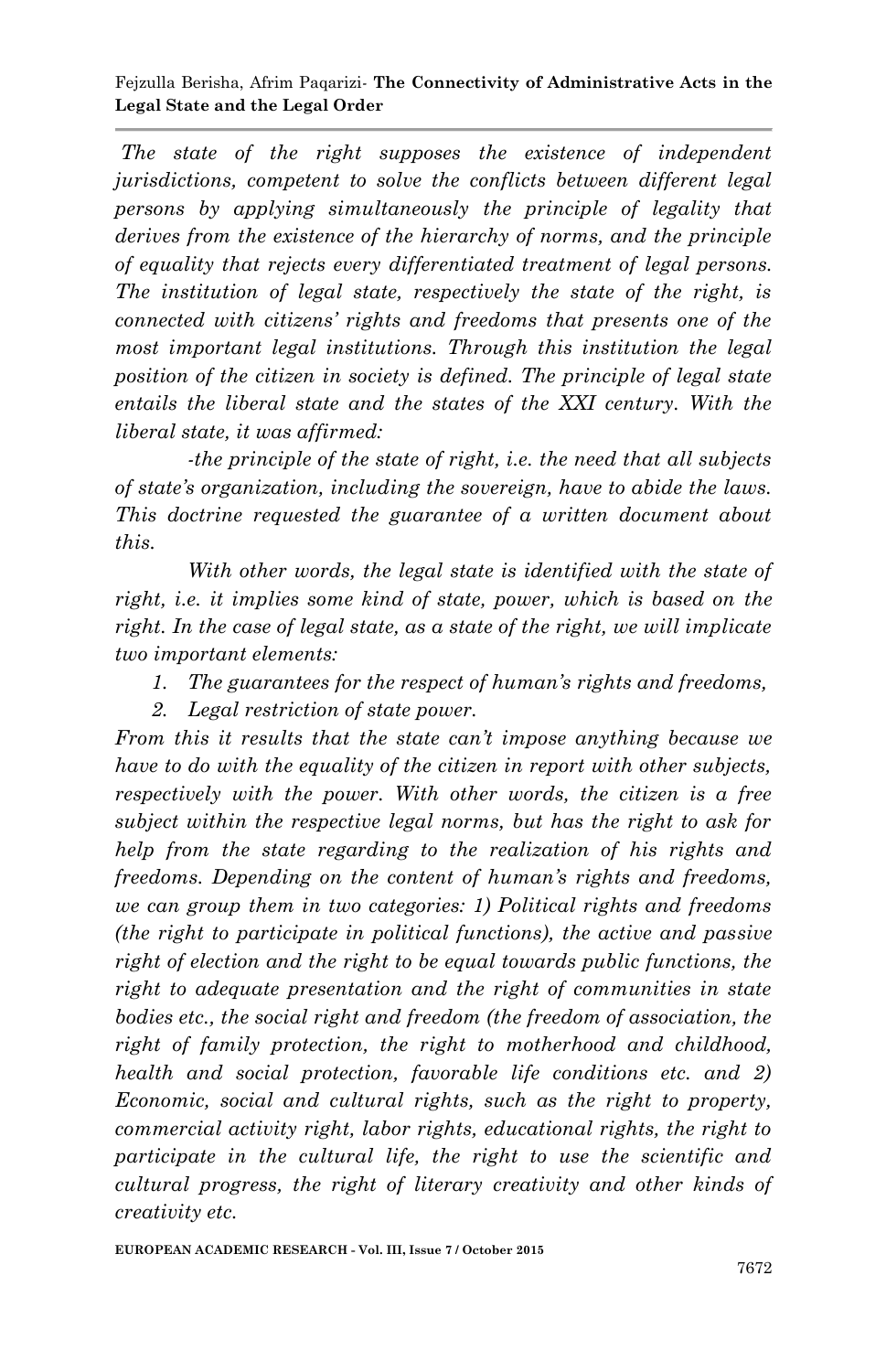*The state of the right supposes the existence of independent jurisdictions, competent to solve the conflicts between different legal persons by applying simultaneously the principle of legality that derives from the existence of the hierarchy of norms, and the principle of equality that rejects every differentiated treatment of legal persons. The institution of legal state, respectively the state of the right, is connected with citizens' rights and freedoms that presents one of the most important legal institutions. Through this institution the legal position of the citizen in society is defined. The principle of legal state entails the liberal state and the states of the XXI century. With the liberal state, it was affirmed:*

*-the principle of the state of right, i.e. the need that all subjects of state's organization, including the sovereign, have to abide the laws. This doctrine requested the guarantee of a written document about this.*

*With other words, the legal state is identified with the state of right, i.e. it implies some kind of state, power, which is based on the right. In the case of legal state, as a state of the right, we will implicate two important elements:*

- *1. The guarantees for the respect of human's rights and freedoms,*
- *2. Legal restriction of state power.*

*From this it results that the state can't impose anything because we have to do with the equality of the citizen in report with other subjects, respectively with the power. With other words, the citizen is a free subject within the respective legal norms, but has the right to ask for help from the state regarding to the realization of his rights and freedoms. Depending on the content of human's rights and freedoms, we can group them in two categories: 1) Political rights and freedoms (the right to participate in political functions), the active and passive right of election and the right to be equal towards public functions, the right to adequate presentation and the right of communities in state bodies etc., the social right and freedom (the freedom of association, the right of family protection, the right to motherhood and childhood, health and social protection, favorable life conditions etc. and 2) Economic, social and cultural rights, such as the right to property, commercial activity right, labor rights, educational rights, the right to participate in the cultural life, the right to use the scientific and cultural progress, the right of literary creativity and other kinds of creativity etc.*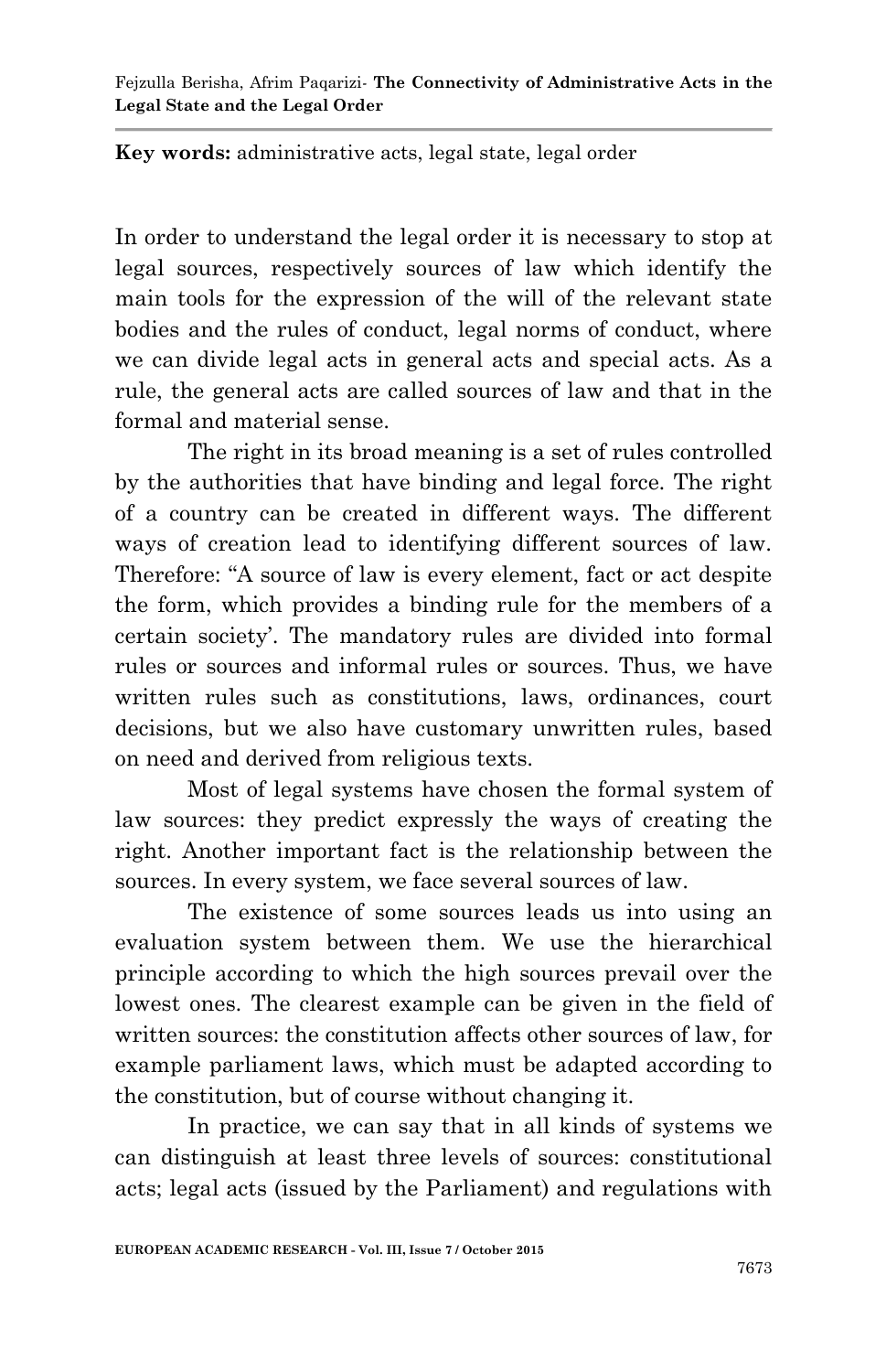**Key words:** administrative acts, legal state, legal order

In order to understand the legal order it is necessary to stop at legal sources, respectively sources of law which identify the main tools for the expression of the will of the relevant state bodies and the rules of conduct, legal norms of conduct, where we can divide legal acts in general acts and special acts. As a rule, the general acts are called sources of law and that in the formal and material sense.

The right in its broad meaning is a set of rules controlled by the authorities that have binding and legal force. The right of a country can be created in different ways. The different ways of creation lead to identifying different sources of law. Therefore: "A source of law is every element, fact or act despite the form, which provides a binding rule for the members of a certain society". The mandatory rules are divided into formal rules or sources and informal rules or sources. Thus, we have written rules such as constitutions, laws, ordinances, court decisions, but we also have customary unwritten rules, based on need and derived from religious texts.

Most of legal systems have chosen the formal system of law sources: they predict expressly the ways of creating the right. Another important fact is the relationship between the sources. In every system, we face several sources of law.

The existence of some sources leads us into using an evaluation system between them. We use the hierarchical principle according to which the high sources prevail over the lowest ones. The clearest example can be given in the field of written sources: the constitution affects other sources of law, for example parliament laws, which must be adapted according to the constitution, but of course without changing it.

In practice, we can say that in all kinds of systems we can distinguish at least three levels of sources: constitutional acts; legal acts (issued by the Parliament) and regulations with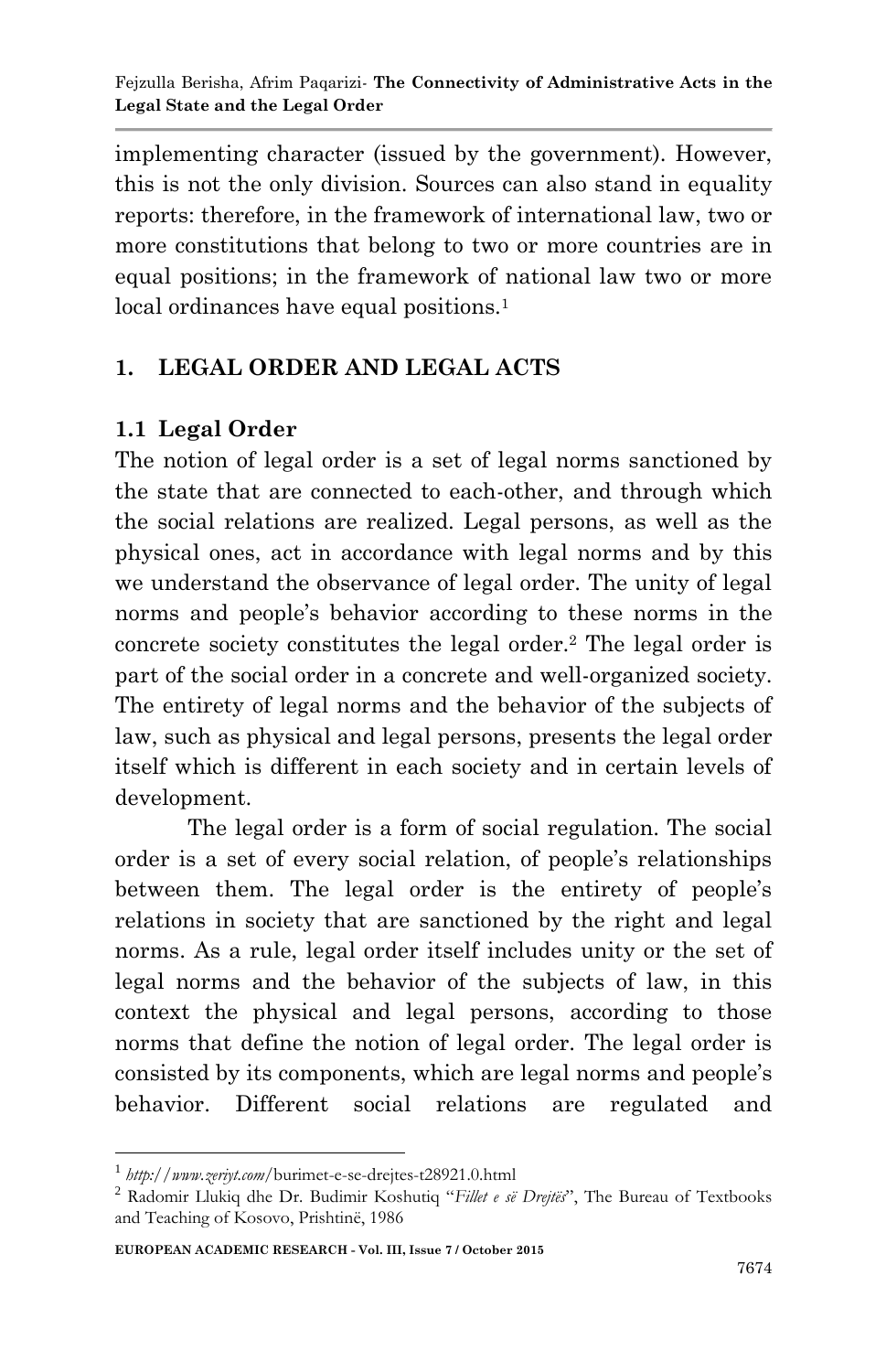implementing character (issued by the government). However, this is not the only division. Sources can also stand in equality reports: therefore, in the framework of international law, two or more constitutions that belong to two or more countries are in equal positions; in the framework of national law two or more local ordinances have equal positions.<sup>1</sup>

# **1. LEGAL ORDER AND LEGAL ACTS**

### **1.1 Legal Order**

The notion of legal order is a set of legal norms sanctioned by the state that are connected to each-other, and through which the social relations are realized. Legal persons, as well as the physical ones, act in accordance with legal norms and by this we understand the observance of legal order. The unity of legal norms and people's behavior according to these norms in the concrete society constitutes the legal order.<sup>2</sup> The legal order is part of the social order in a concrete and well-organized society. The entirety of legal norms and the behavior of the subjects of law, such as physical and legal persons, presents the legal order itself which is different in each society and in certain levels of development.

The legal order is a form of social regulation. The social order is a set of every social relation, of people"s relationships between them. The legal order is the entirety of people's relations in society that are sanctioned by the right and legal norms. As a rule, legal order itself includes unity or the set of legal norms and the behavior of the subjects of law, in this context the physical and legal persons, according to those norms that define the notion of legal order. The legal order is consisted by its components, which are legal norms and people"s behavior. Different social relations are regulated and

1

<sup>1</sup> *http://www.zeriyt.com*/burimet-e-se-drejtes-t28921.0.html

<sup>2</sup> Radomir Llukiq dhe Dr. Budimir Koshutiq "*Fillet e së Drejtës*", The Bureau of Textbooks and Teaching of Kosovo, Prishtinë, 1986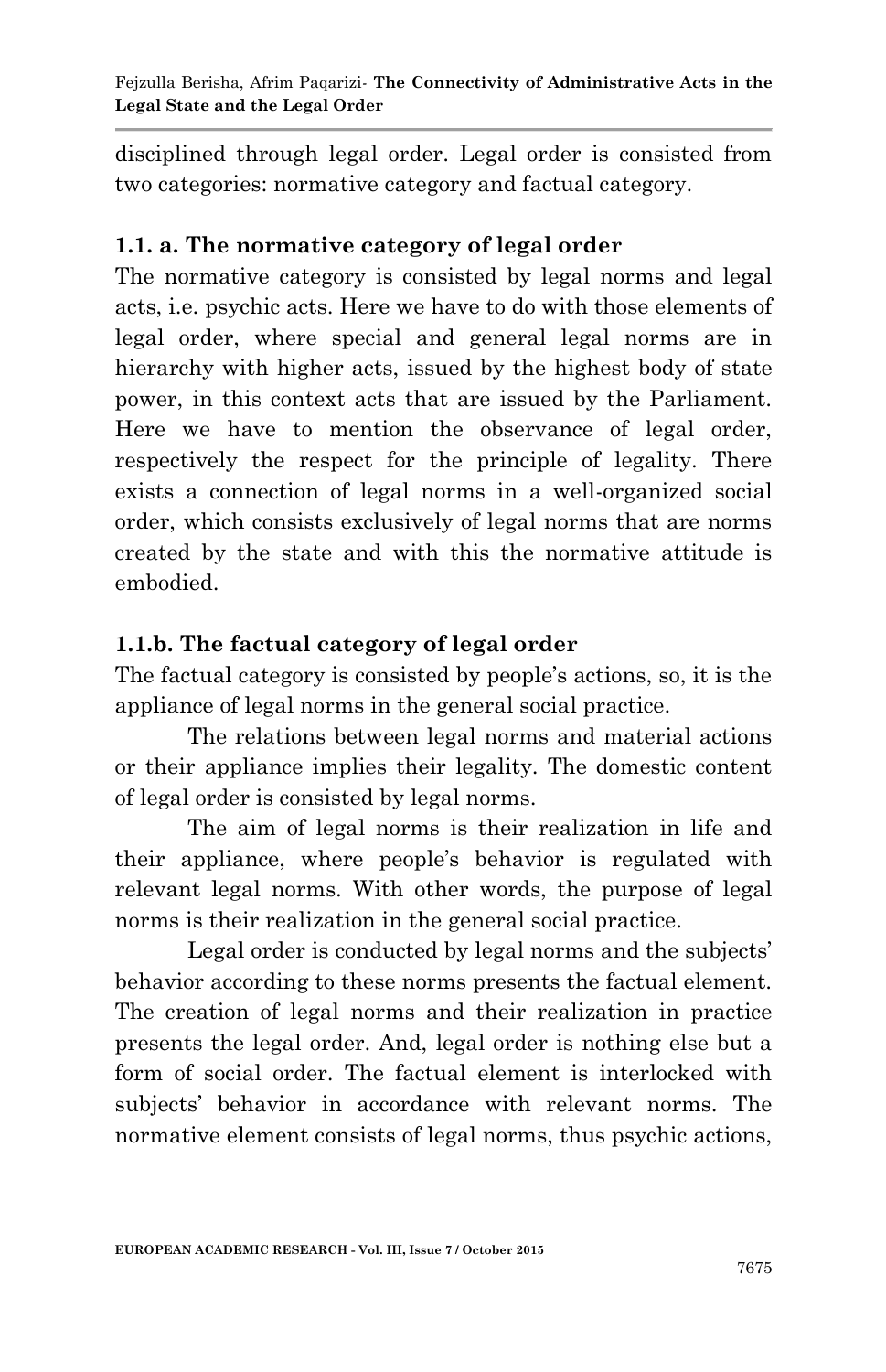disciplined through legal order. Legal order is consisted from two categories: normative category and factual category.

### **1.1. a. The normative category of legal order**

The normative category is consisted by legal norms and legal acts, i.e. psychic acts. Here we have to do with those elements of legal order, where special and general legal norms are in hierarchy with higher acts, issued by the highest body of state power, in this context acts that are issued by the Parliament. Here we have to mention the observance of legal order, respectively the respect for the principle of legality. There exists a connection of legal norms in a well-organized social order, which consists exclusively of legal norms that are norms created by the state and with this the normative attitude is embodied.

## **1.1.b. The factual category of legal order**

The factual category is consisted by people's actions, so, it is the appliance of legal norms in the general social practice.

The relations between legal norms and material actions or their appliance implies their legality. The domestic content of legal order is consisted by legal norms.

The aim of legal norms is their realization in life and their appliance, where people"s behavior is regulated with relevant legal norms. With other words, the purpose of legal norms is their realization in the general social practice.

Legal order is conducted by legal norms and the subjects' behavior according to these norms presents the factual element. The creation of legal norms and their realization in practice presents the legal order. And, legal order is nothing else but a form of social order. The factual element is interlocked with subjects' behavior in accordance with relevant norms. The normative element consists of legal norms, thus psychic actions,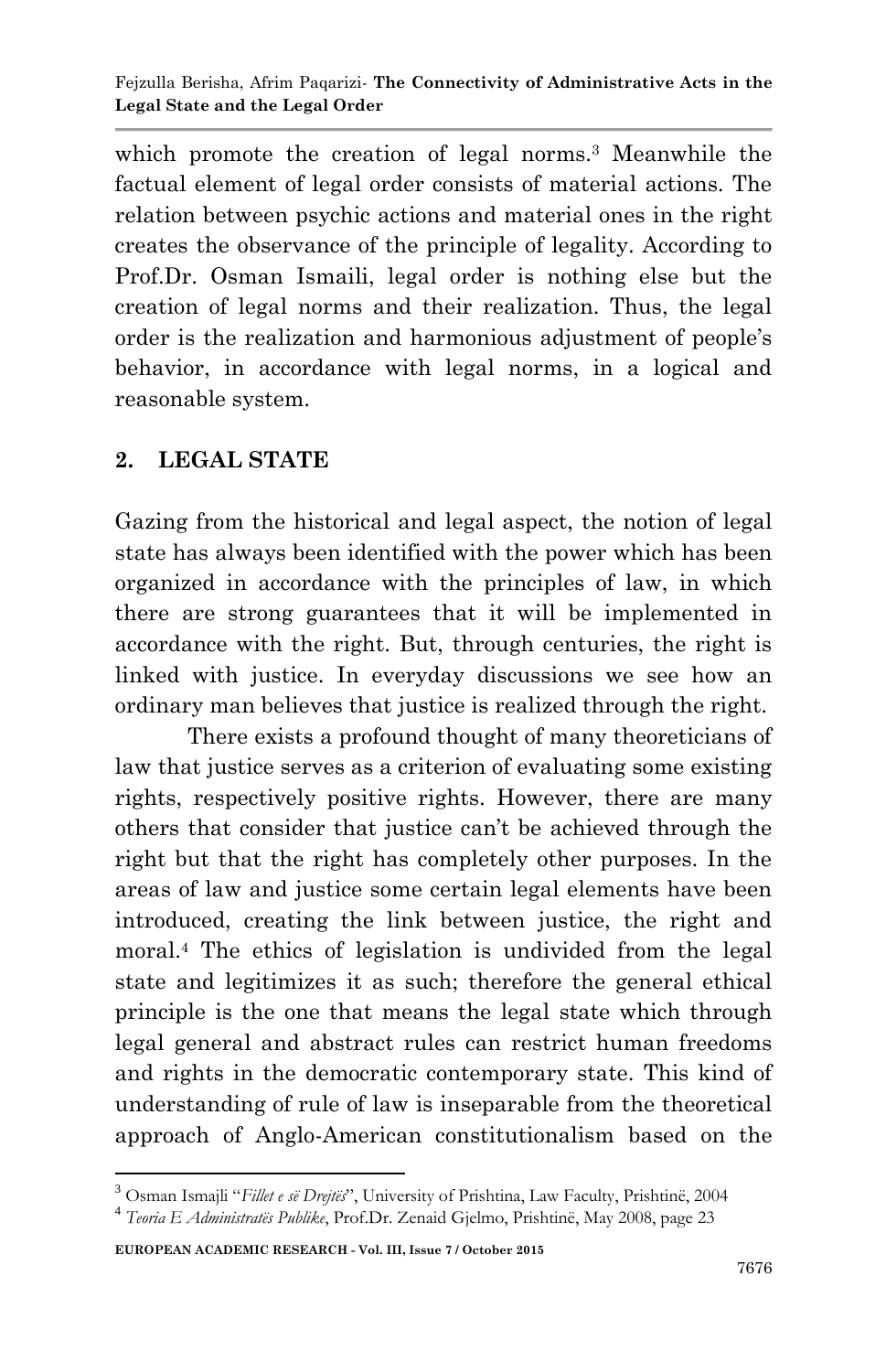which promote the creation of legal norms.<sup>3</sup> Meanwhile the factual element of legal order consists of material actions. The relation between psychic actions and material ones in the right creates the observance of the principle of legality. According to Prof.Dr. Osman Ismaili, legal order is nothing else but the creation of legal norms and their realization. Thus, the legal order is the realization and harmonious adjustment of people"s behavior, in accordance with legal norms, in a logical and reasonable system.

## **2. LEGAL STATE**

Gazing from the historical and legal aspect, the notion of legal state has always been identified with the power which has been organized in accordance with the principles of law, in which there are strong guarantees that it will be implemented in accordance with the right. But, through centuries, the right is linked with justice. In everyday discussions we see how an ordinary man believes that justice is realized through the right.

There exists a profound thought of many theoreticians of law that justice serves as a criterion of evaluating some existing rights, respectively positive rights. However, there are many others that consider that justice can"t be achieved through the right but that the right has completely other purposes. In the areas of law and justice some certain legal elements have been introduced, creating the link between justice, the right and moral. <sup>4</sup> The ethics of legislation is undivided from the legal state and legitimizes it as such; therefore the general ethical principle is the one that means the legal state which through legal general and abstract rules can restrict human freedoms and rights in the democratic contemporary state. This kind of understanding of rule of law is inseparable from the theoretical approach of Anglo-American constitutionalism based on the

-

<sup>3</sup> Osman Ismajli "*Fillet e së Drejtës*", University of Prishtina, Law Faculty, Prishtinë, 2004

<sup>4</sup> *Teoria E Administratës Publike*, Prof.Dr. Zenaid Gjelmo, Prishtinë, May 2008, page 23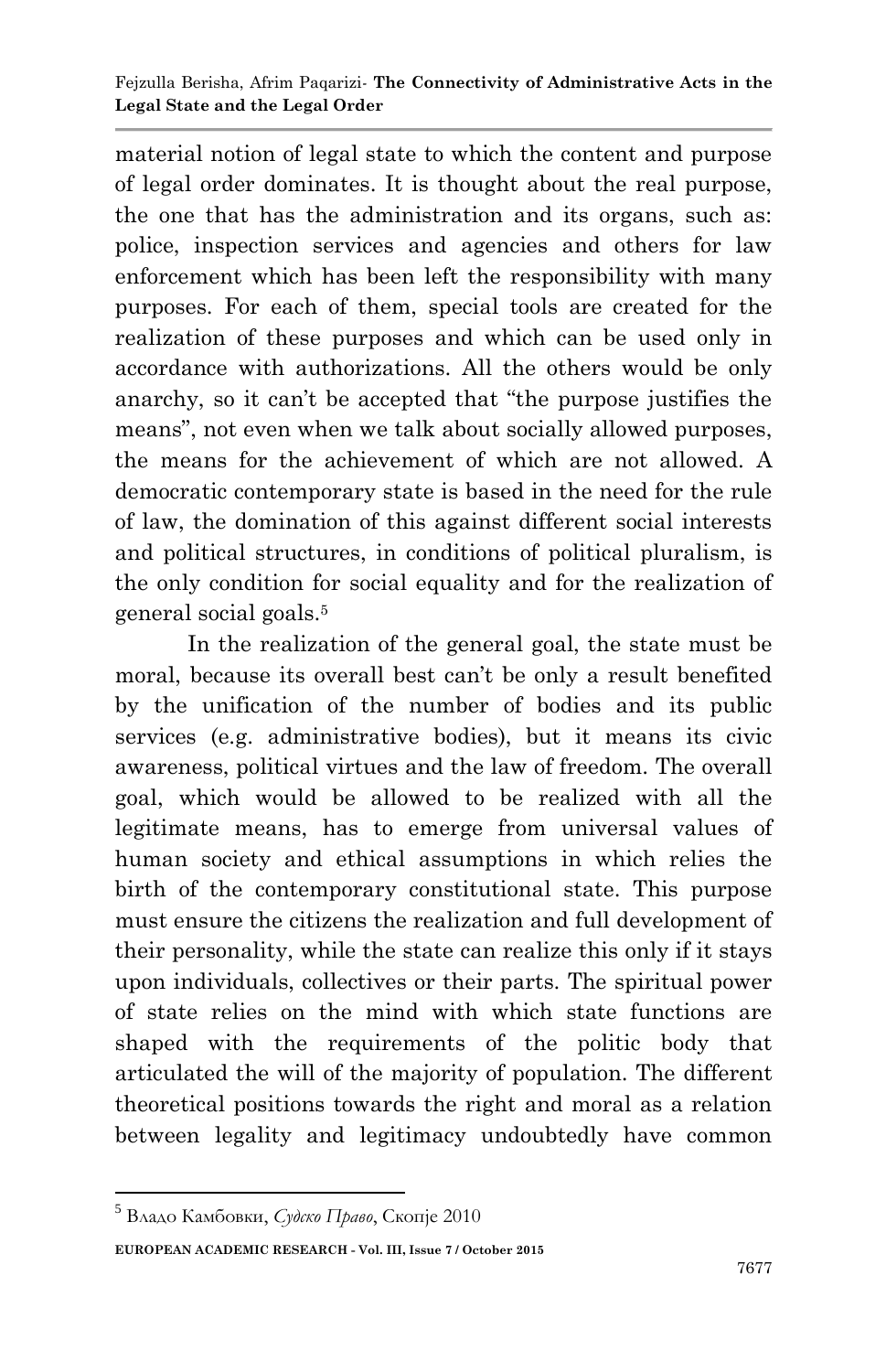material notion of legal state to which the content and purpose of legal order dominates. It is thought about the real purpose, the one that has the administration and its organs, such as: police, inspection services and agencies and others for law enforcement which has been left the responsibility with many purposes. For each of them, special tools are created for the realization of these purposes and which can be used only in accordance with authorizations. All the others would be only anarchy, so it can"t be accepted that "the purpose justifies the means", not even when we talk about socially allowed purposes, the means for the achievement of which are not allowed. A democratic contemporary state is based in the need for the rule of law, the domination of this against different social interests and political structures, in conditions of political pluralism, is the only condition for social equality and for the realization of general social goals.<sup>5</sup>

In the realization of the general goal, the state must be moral, because its overall best can"t be only a result benefited by the unification of the number of bodies and its public services (e.g. administrative bodies), but it means its civic awareness, political virtues and the law of freedom. The overall goal, which would be allowed to be realized with all the legitimate means, has to emerge from universal values of human society and ethical assumptions in which relies the birth of the contemporary constitutional state. This purpose must ensure the citizens the realization and full development of their personality, while the state can realize this only if it stays upon individuals, collectives or their parts. The spiritual power of state relies on the mind with which state functions are shaped with the requirements of the politic body that articulated the will of the majority of population. The different theoretical positions towards the right and moral as a relation between legality and legitimacy undoubtedly have common

**EUROPEAN ACADEMIC RESEARCH - Vol. III, Issue 7 / October 2015**

<sup>1</sup> <sup>5</sup> Владо Камбовки, *Судско Право*, Скопје 2010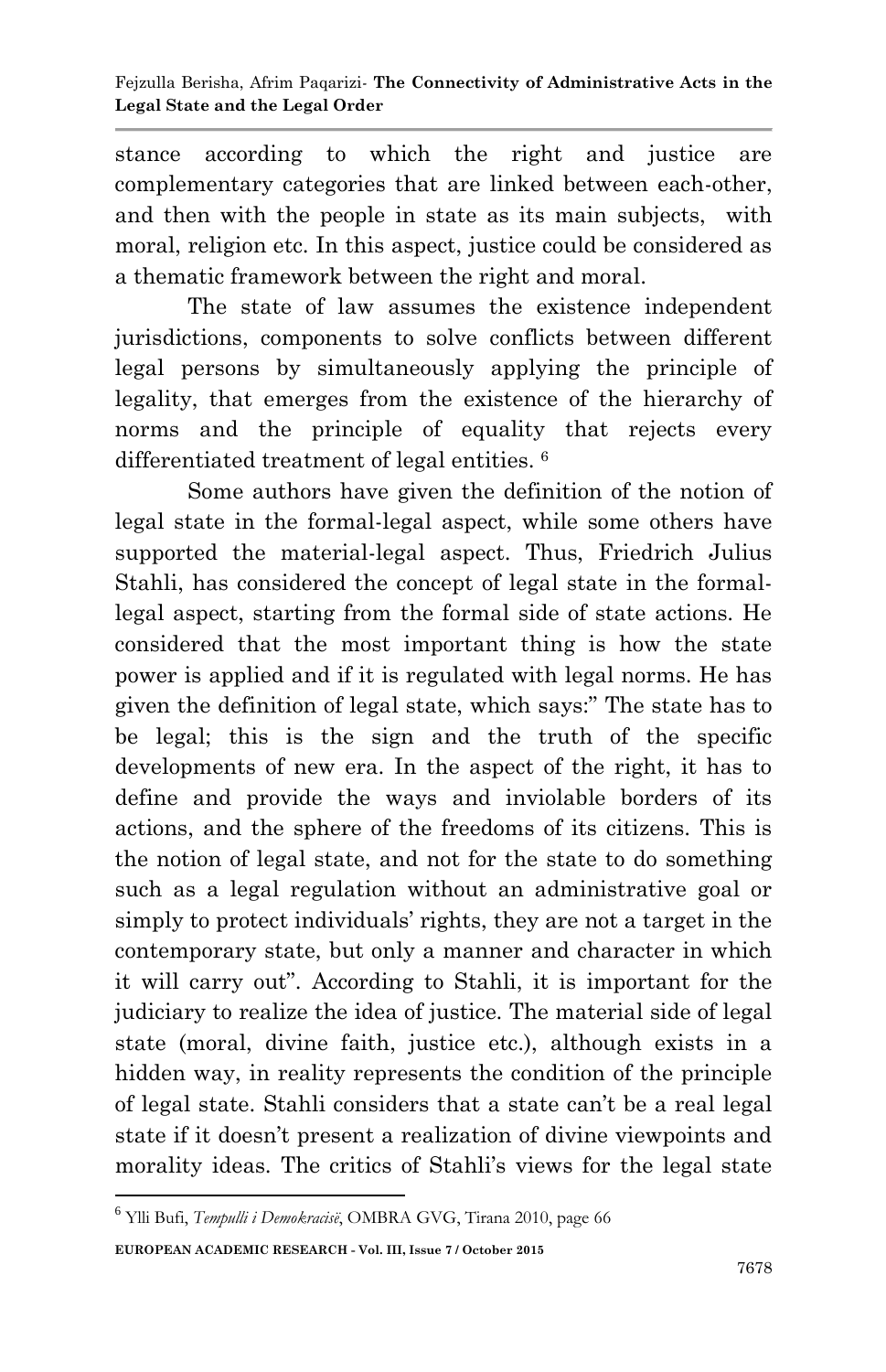stance according to which the right and justice are complementary categories that are linked between each-other, and then with the people in state as its main subjects, with moral, religion etc. In this aspect, justice could be considered as a thematic framework between the right and moral.

The state of law assumes the existence independent jurisdictions, components to solve conflicts between different legal persons by simultaneously applying the principle of legality, that emerges from the existence of the hierarchy of norms and the principle of equality that rejects every differentiated treatment of legal entities. <sup>6</sup>

Some authors have given the definition of the notion of legal state in the formal-legal aspect, while some others have supported the material-legal aspect. Thus, Friedrich Julius Stahli, has considered the concept of legal state in the formallegal aspect, starting from the formal side of state actions. He considered that the most important thing is how the state power is applied and if it is regulated with legal norms. He has given the definition of legal state, which says:" The state has to be legal; this is the sign and the truth of the specific developments of new era. In the aspect of the right, it has to define and provide the ways and inviolable borders of its actions, and the sphere of the freedoms of its citizens. This is the notion of legal state, and not for the state to do something such as a legal regulation without an administrative goal or simply to protect individuals' rights, they are not a target in the contemporary state, but only a manner and character in which it will carry out". According to Stahli, it is important for the judiciary to realize the idea of justice. The material side of legal state (moral, divine faith, justice etc.), although exists in a hidden way, in reality represents the condition of the principle of legal state. Stahli considers that a state can"t be a real legal state if it doesn"t present a realization of divine viewpoints and morality ideas. The critics of Stahli"s views for the legal state

**EUROPEAN ACADEMIC RESEARCH - Vol. III, Issue 7 / October 2015**

1

<sup>6</sup> Ylli Bufi, *Tempulli i Demokracisë*, OMBRA GVG, Tirana 2010, page 66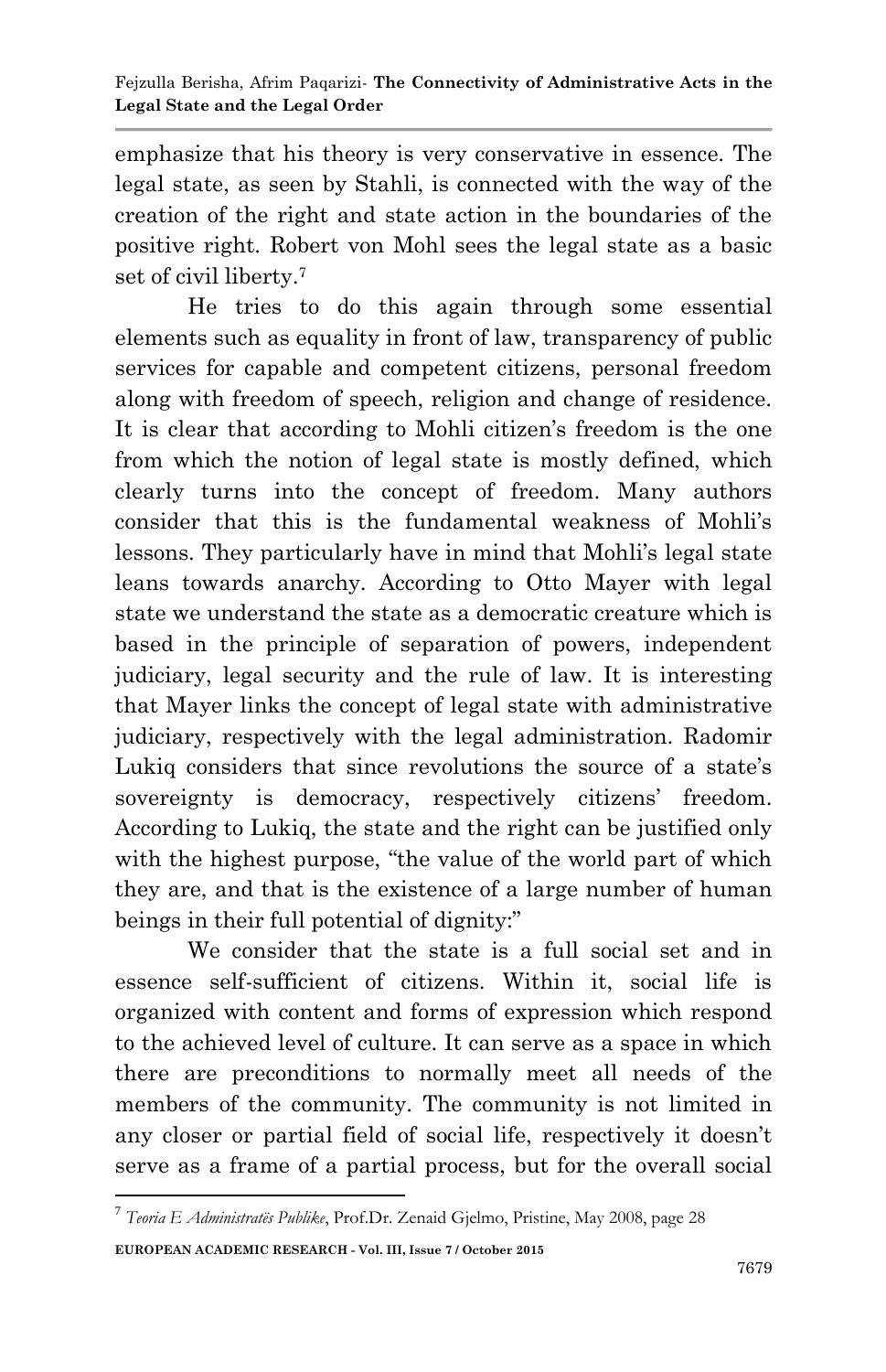emphasize that his theory is very conservative in essence. The legal state, as seen by Stahli, is connected with the way of the creation of the right and state action in the boundaries of the positive right. Robert von Mohl sees the legal state as a basic set of civil liberty.<sup>7</sup>

He tries to do this again through some essential elements such as equality in front of law, transparency of public services for capable and competent citizens, personal freedom along with freedom of speech, religion and change of residence. It is clear that according to Mohli citizen's freedom is the one from which the notion of legal state is mostly defined, which clearly turns into the concept of freedom. Many authors consider that this is the fundamental weakness of Mohli"s lessons. They particularly have in mind that Mohli"s legal state leans towards anarchy. According to Otto Mayer with legal state we understand the state as a democratic creature which is based in the principle of separation of powers, independent judiciary, legal security and the rule of law. It is interesting that Mayer links the concept of legal state with administrative judiciary, respectively with the legal administration. Radomir Lukig considers that since revolutions the source of a state's sovereignty is democracy, respectively citizens' freedom. According to Lukiq, the state and the right can be justified only with the highest purpose, "the value of the world part of which they are, and that is the existence of a large number of human beings in their full potential of dignity:"

We consider that the state is a full social set and in essence self-sufficient of citizens. Within it, social life is organized with content and forms of expression which respond to the achieved level of culture. It can serve as a space in which there are preconditions to normally meet all needs of the members of the community. The community is not limited in any closer or partial field of social life, respectively it doesn"t serve as a frame of a partial process, but for the overall social

**EUROPEAN ACADEMIC RESEARCH - Vol. III, Issue 7 / October 2015** 7 *Teoria E Administratës Publike*, Prof.Dr. Zenaid Gjelmo, Pristine, May 2008, page 28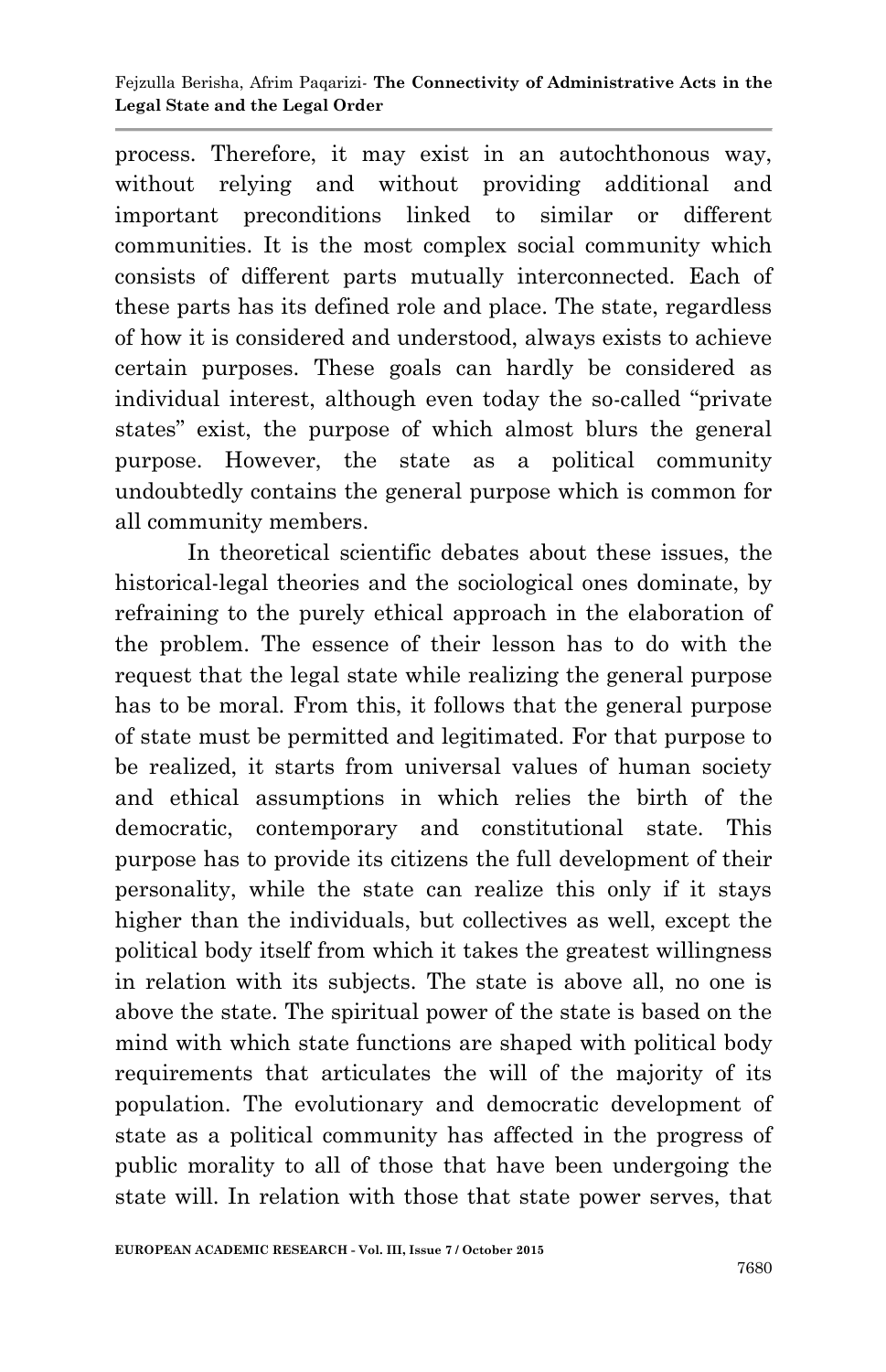process. Therefore, it may exist in an autochthonous way, without relying and without providing additional and important preconditions linked to similar or different communities. It is the most complex social community which consists of different parts mutually interconnected. Each of these parts has its defined role and place. The state, regardless of how it is considered and understood, always exists to achieve certain purposes. These goals can hardly be considered as individual interest, although even today the so-called "private states" exist, the purpose of which almost blurs the general purpose. However, the state as a political community undoubtedly contains the general purpose which is common for all community members.

In theoretical scientific debates about these issues, the historical-legal theories and the sociological ones dominate, by refraining to the purely ethical approach in the elaboration of the problem. The essence of their lesson has to do with the request that the legal state while realizing the general purpose has to be moral. From this, it follows that the general purpose of state must be permitted and legitimated. For that purpose to be realized, it starts from universal values of human society and ethical assumptions in which relies the birth of the democratic, contemporary and constitutional state. This purpose has to provide its citizens the full development of their personality, while the state can realize this only if it stays higher than the individuals, but collectives as well, except the political body itself from which it takes the greatest willingness in relation with its subjects. The state is above all, no one is above the state. The spiritual power of the state is based on the mind with which state functions are shaped with political body requirements that articulates the will of the majority of its population. The evolutionary and democratic development of state as a political community has affected in the progress of public morality to all of those that have been undergoing the state will. In relation with those that state power serves, that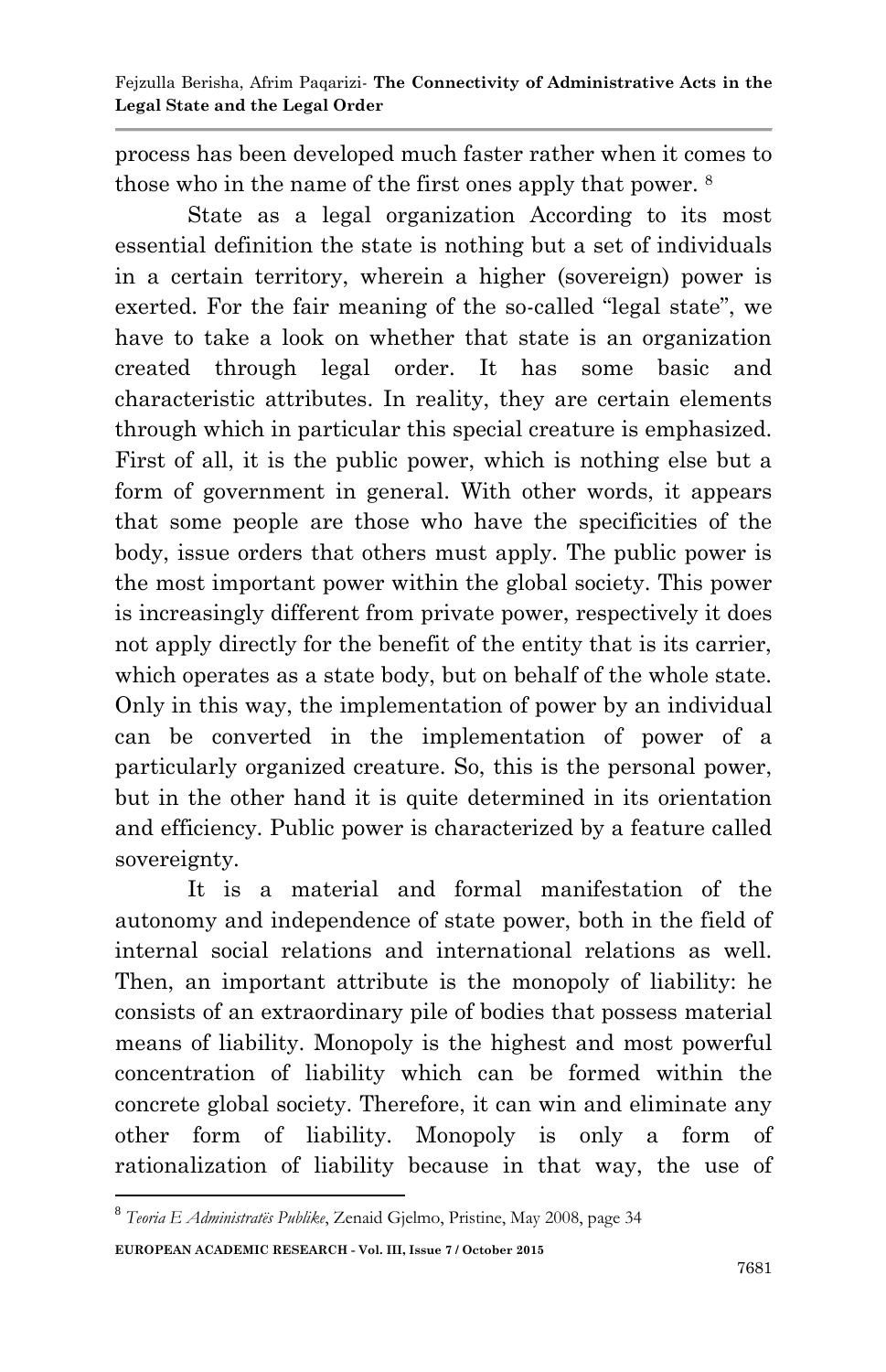process has been developed much faster rather when it comes to those who in the name of the first ones apply that power. <sup>8</sup>

State as a legal organization According to its most essential definition the state is nothing but a set of individuals in a certain territory, wherein a higher (sovereign) power is exerted. For the fair meaning of the so-called "legal state", we have to take a look on whether that state is an organization created through legal order. It has some basic and characteristic attributes. In reality, they are certain elements through which in particular this special creature is emphasized. First of all, it is the public power, which is nothing else but a form of government in general. With other words, it appears that some people are those who have the specificities of the body, issue orders that others must apply. The public power is the most important power within the global society. This power is increasingly different from private power, respectively it does not apply directly for the benefit of the entity that is its carrier, which operates as a state body, but on behalf of the whole state. Only in this way, the implementation of power by an individual can be converted in the implementation of power of a particularly organized creature. So, this is the personal power, but in the other hand it is quite determined in its orientation and efficiency. Public power is characterized by a feature called sovereignty.

It is a material and formal manifestation of the autonomy and independence of state power, both in the field of internal social relations and international relations as well. Then, an important attribute is the monopoly of liability: he consists of an extraordinary pile of bodies that possess material means of liability. Monopoly is the highest and most powerful concentration of liability which can be formed within the concrete global society. Therefore, it can win and eliminate any other form of liability. Monopoly is only a form of rationalization of liability because in that way, the use of

**EUROPEAN ACADEMIC RESEARCH - Vol. III, Issue 7 / October 2015** 1 8 *Teoria E Administratës Publike*, Zenaid Gjelmo, Pristine, May 2008, page 34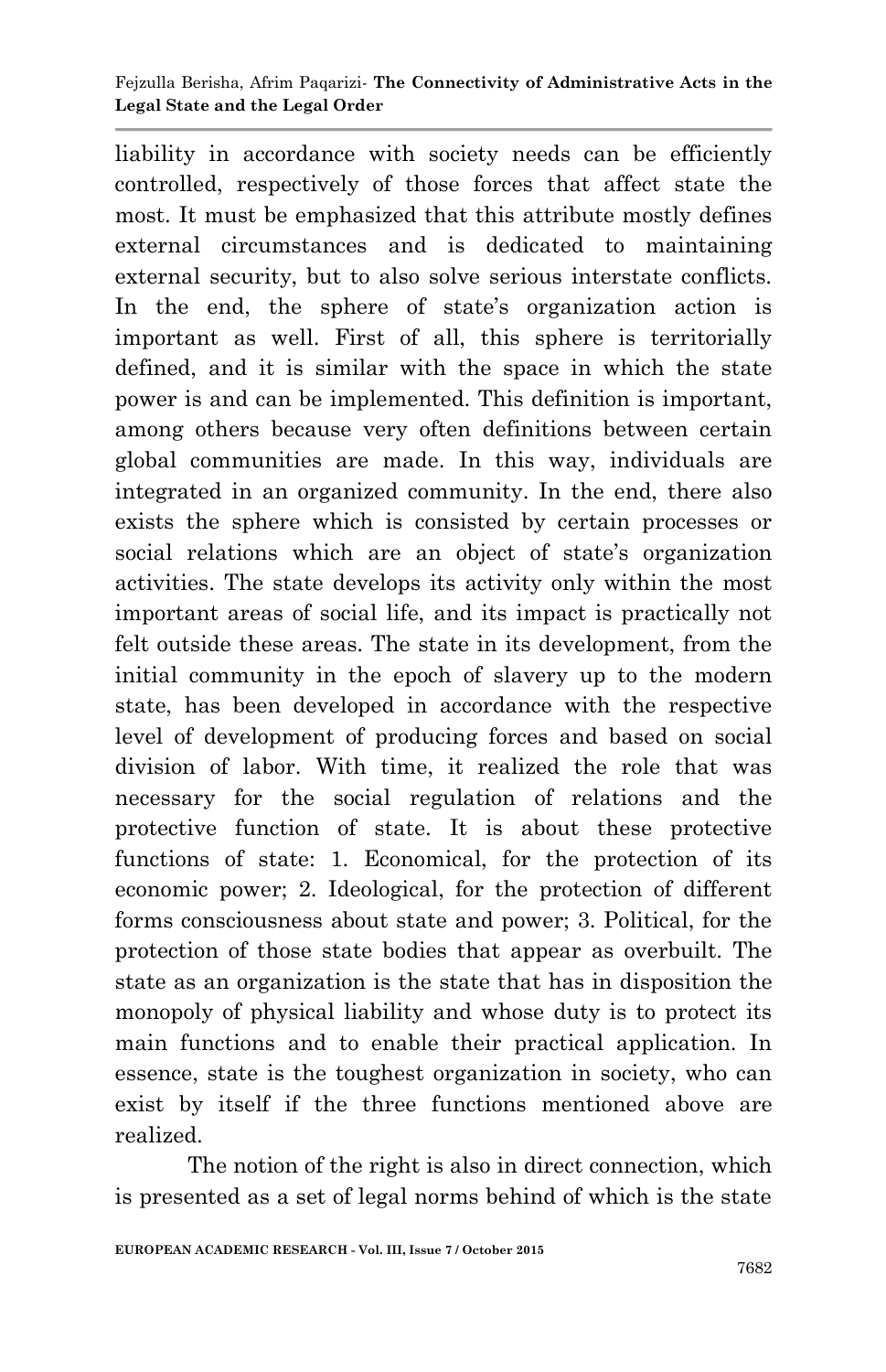#### Fejzulla Berisha, Afrim Paqarizi*-* **The Connectivity of Administrative Acts in the Legal State and the Legal Order**

liability in accordance with society needs can be efficiently controlled, respectively of those forces that affect state the most. It must be emphasized that this attribute mostly defines external circumstances and is dedicated to maintaining external security, but to also solve serious interstate conflicts. In the end, the sphere of state's organization action is important as well. First of all, this sphere is territorially defined, and it is similar with the space in which the state power is and can be implemented. This definition is important, among others because very often definitions between certain global communities are made. In this way, individuals are integrated in an organized community. In the end, there also exists the sphere which is consisted by certain processes or social relations which are an object of state's organization activities. The state develops its activity only within the most important areas of social life, and its impact is practically not felt outside these areas. The state in its development, from the initial community in the epoch of slavery up to the modern state, has been developed in accordance with the respective level of development of producing forces and based on social division of labor. With time, it realized the role that was necessary for the social regulation of relations and the protective function of state. It is about these protective functions of state: 1. Economical, for the protection of its economic power; 2. Ideological, for the protection of different forms consciousness about state and power; 3. Political, for the protection of those state bodies that appear as overbuilt. The state as an organization is the state that has in disposition the monopoly of physical liability and whose duty is to protect its main functions and to enable their practical application. In essence, state is the toughest organization in society, who can exist by itself if the three functions mentioned above are realized.

The notion of the right is also in direct connection, which is presented as a set of legal norms behind of which is the state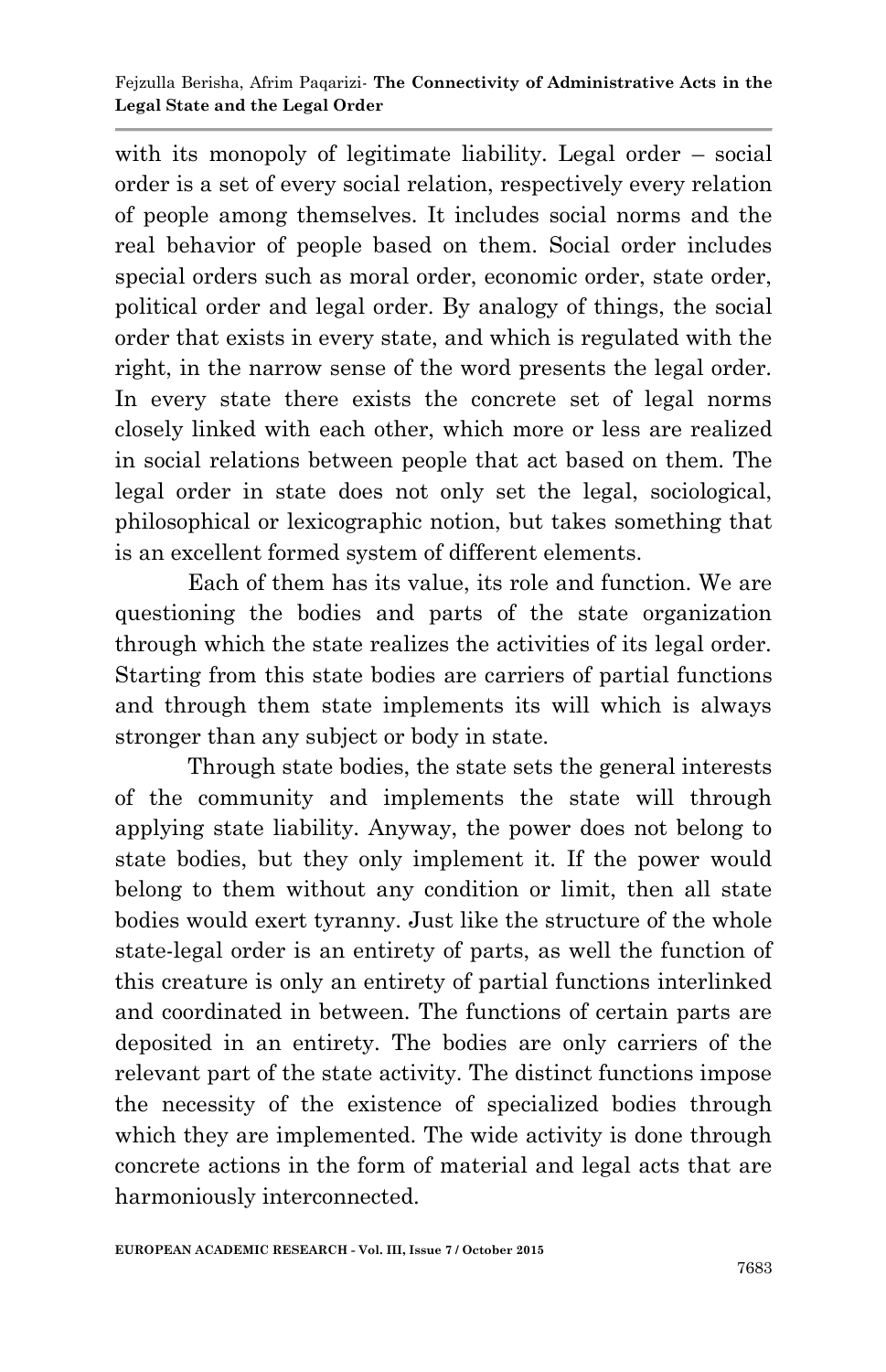with its monopoly of legitimate liability. Legal order – social order is a set of every social relation, respectively every relation of people among themselves. It includes social norms and the real behavior of people based on them. Social order includes special orders such as moral order, economic order, state order, political order and legal order. By analogy of things, the social order that exists in every state, and which is regulated with the right, in the narrow sense of the word presents the legal order. In every state there exists the concrete set of legal norms closely linked with each other, which more or less are realized in social relations between people that act based on them. The legal order in state does not only set the legal, sociological, philosophical or lexicographic notion, but takes something that is an excellent formed system of different elements.

Each of them has its value, its role and function. We are questioning the bodies and parts of the state organization through which the state realizes the activities of its legal order. Starting from this state bodies are carriers of partial functions and through them state implements its will which is always stronger than any subject or body in state.

Through state bodies, the state sets the general interests of the community and implements the state will through applying state liability. Anyway, the power does not belong to state bodies, but they only implement it. If the power would belong to them without any condition or limit, then all state bodies would exert tyranny. Just like the structure of the whole state-legal order is an entirety of parts, as well the function of this creature is only an entirety of partial functions interlinked and coordinated in between. The functions of certain parts are deposited in an entirety. The bodies are only carriers of the relevant part of the state activity. The distinct functions impose the necessity of the existence of specialized bodies through which they are implemented. The wide activity is done through concrete actions in the form of material and legal acts that are harmoniously interconnected.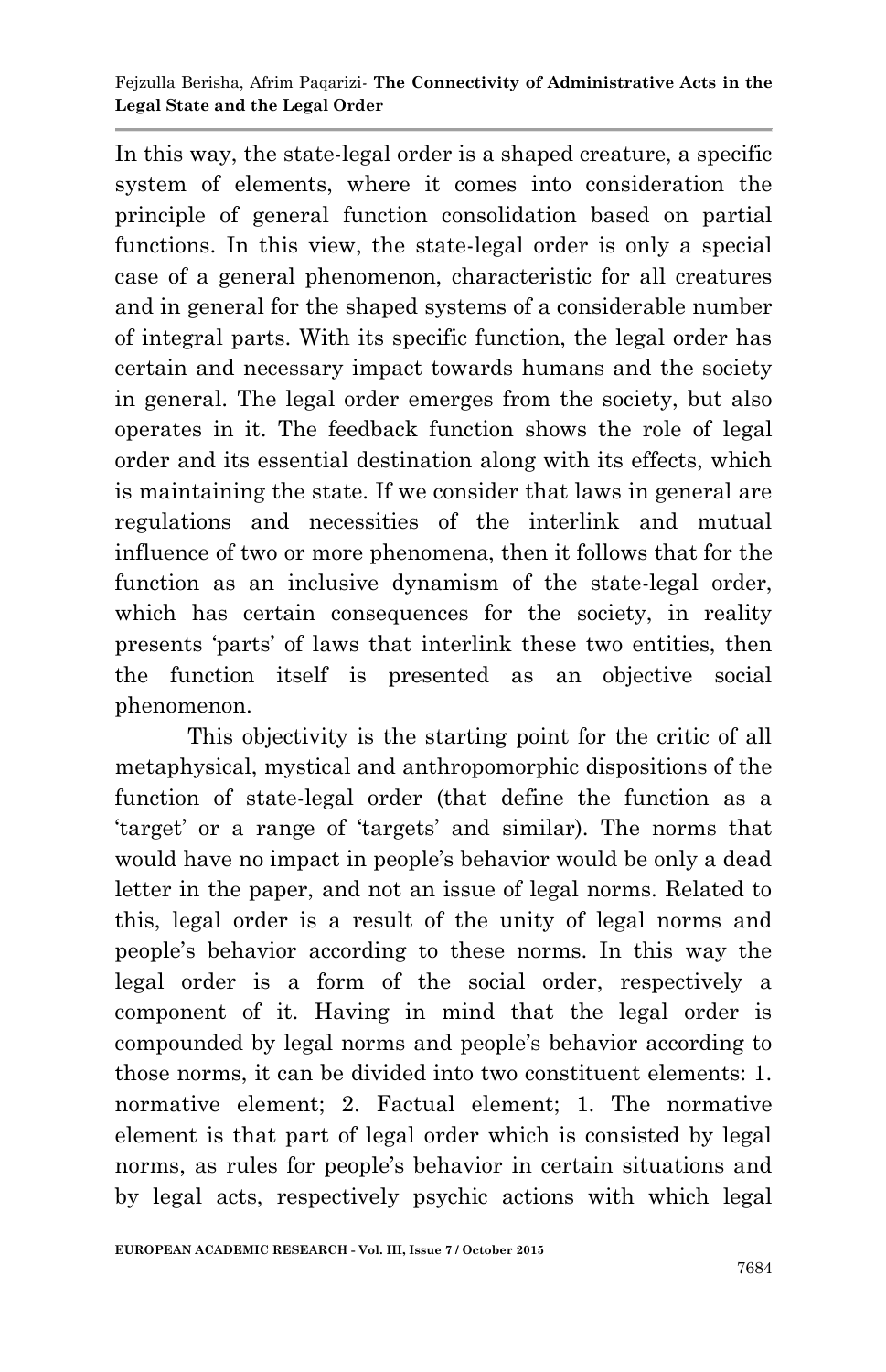In this way, the state-legal order is a shaped creature, a specific system of elements, where it comes into consideration the principle of general function consolidation based on partial functions. In this view, the state-legal order is only a special case of a general phenomenon, characteristic for all creatures and in general for the shaped systems of a considerable number of integral parts. With its specific function, the legal order has certain and necessary impact towards humans and the society in general. The legal order emerges from the society, but also operates in it. The feedback function shows the role of legal order and its essential destination along with its effects, which is maintaining the state. If we consider that laws in general are regulations and necessities of the interlink and mutual influence of two or more phenomena, then it follows that for the function as an inclusive dynamism of the state-legal order, which has certain consequences for the society, in reality presents "parts" of laws that interlink these two entities, then the function itself is presented as an objective social phenomenon.

This objectivity is the starting point for the critic of all metaphysical, mystical and anthropomorphic dispositions of the function of state-legal order (that define the function as a "target" or a range of "targets" and similar). The norms that would have no impact in people's behavior would be only a dead letter in the paper, and not an issue of legal norms. Related to this, legal order is a result of the unity of legal norms and people"s behavior according to these norms. In this way the legal order is a form of the social order, respectively a component of it. Having in mind that the legal order is compounded by legal norms and people"s behavior according to those norms, it can be divided into two constituent elements: 1. normative element; 2. Factual element; 1. The normative element is that part of legal order which is consisted by legal norms, as rules for people"s behavior in certain situations and by legal acts, respectively psychic actions with which legal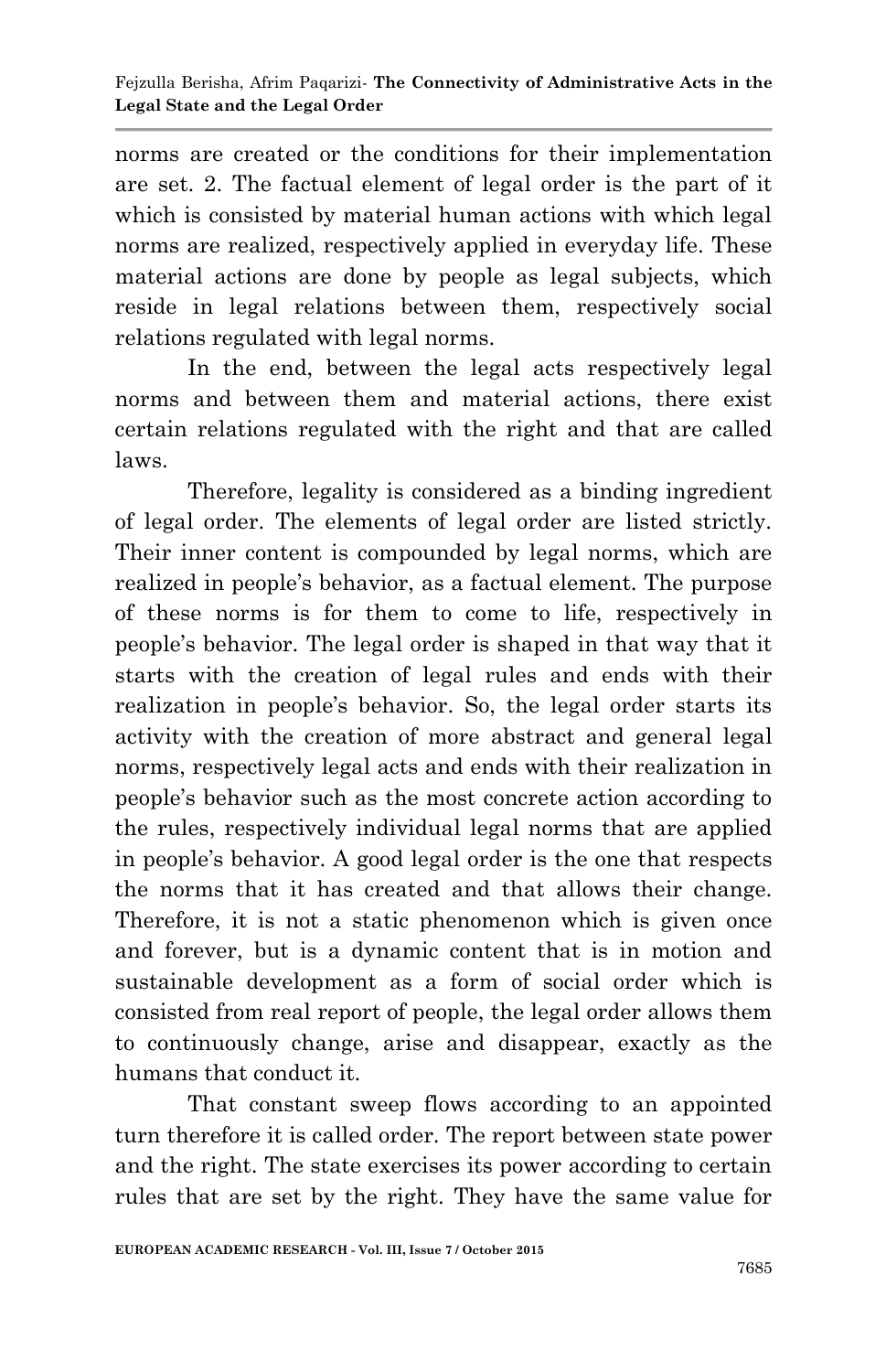norms are created or the conditions for their implementation are set. 2. The factual element of legal order is the part of it which is consisted by material human actions with which legal norms are realized, respectively applied in everyday life. These material actions are done by people as legal subjects, which reside in legal relations between them, respectively social relations regulated with legal norms.

In the end, between the legal acts respectively legal norms and between them and material actions, there exist certain relations regulated with the right and that are called laws.

Therefore, legality is considered as a binding ingredient of legal order. The elements of legal order are listed strictly. Their inner content is compounded by legal norms, which are realized in people"s behavior, as a factual element. The purpose of these norms is for them to come to life, respectively in people"s behavior. The legal order is shaped in that way that it starts with the creation of legal rules and ends with their realization in people"s behavior. So, the legal order starts its activity with the creation of more abstract and general legal norms, respectively legal acts and ends with their realization in people"s behavior such as the most concrete action according to the rules, respectively individual legal norms that are applied in people"s behavior. A good legal order is the one that respects the norms that it has created and that allows their change. Therefore, it is not a static phenomenon which is given once and forever, but is a dynamic content that is in motion and sustainable development as a form of social order which is consisted from real report of people, the legal order allows them to continuously change, arise and disappear, exactly as the humans that conduct it.

That constant sweep flows according to an appointed turn therefore it is called order. The report between state power and the right. The state exercises its power according to certain rules that are set by the right. They have the same value for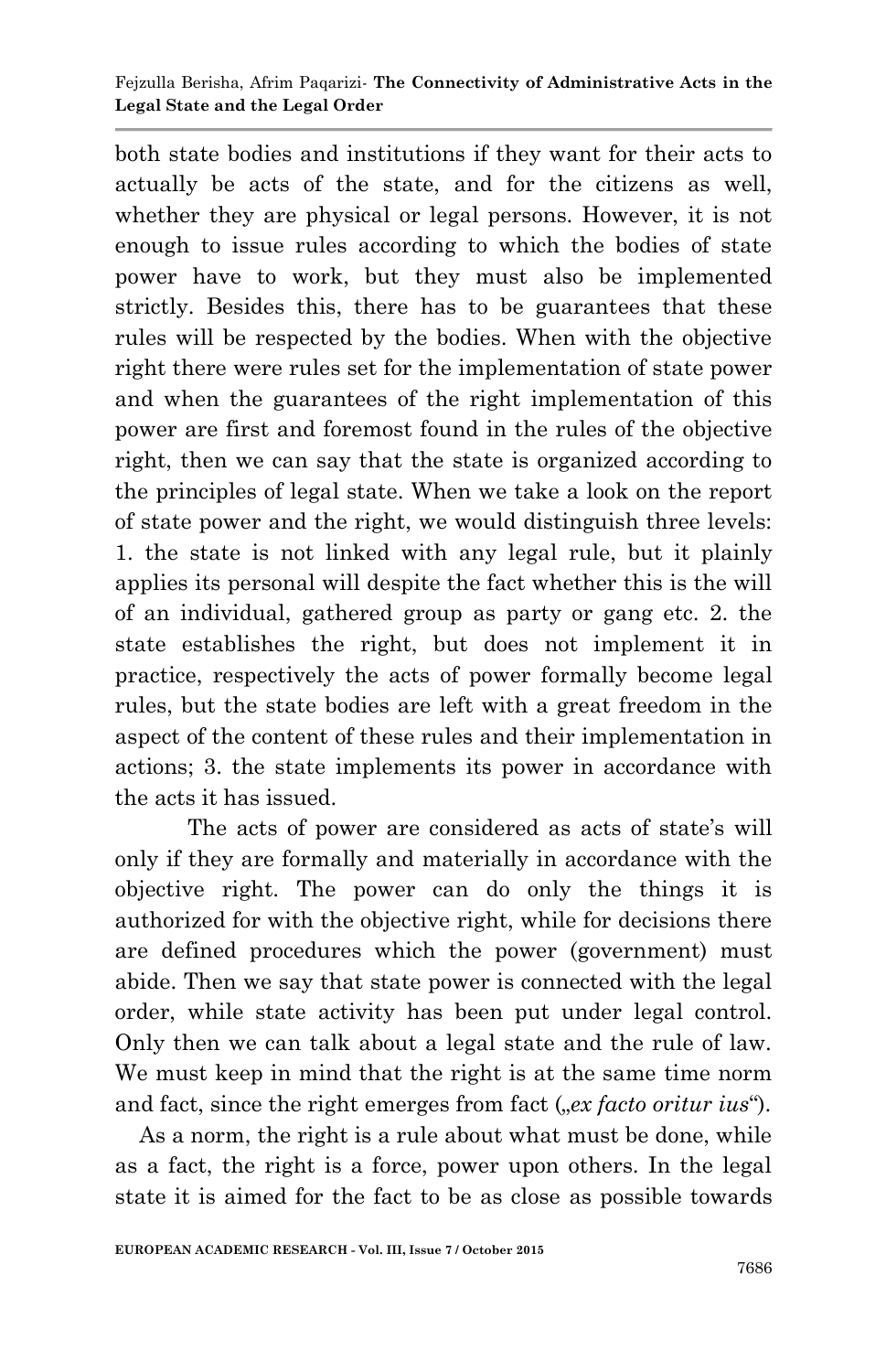both state bodies and institutions if they want for their acts to actually be acts of the state, and for the citizens as well, whether they are physical or legal persons. However, it is not enough to issue rules according to which the bodies of state power have to work, but they must also be implemented strictly. Besides this, there has to be guarantees that these rules will be respected by the bodies. When with the objective right there were rules set for the implementation of state power and when the guarantees of the right implementation of this power are first and foremost found in the rules of the objective right, then we can say that the state is organized according to the principles of legal state. When we take a look on the report of state power and the right, we would distinguish three levels: 1. the state is not linked with any legal rule, but it plainly applies its personal will despite the fact whether this is the will of an individual, gathered group as party or gang etc. 2. the state establishes the right, but does not implement it in practice, respectively the acts of power formally become legal rules, but the state bodies are left with a great freedom in the aspect of the content of these rules and their implementation in actions; 3. the state implements its power in accordance with the acts it has issued.

The acts of power are considered as acts of state's will only if they are formally and materially in accordance with the objective right. The power can do only the things it is authorized for with the objective right, while for decisions there are defined procedures which the power (government) must abide. Then we say that state power is connected with the legal order, while state activity has been put under legal control. Only then we can talk about a legal state and the rule of law. We must keep in mind that the right is at the same time norm and fact, since the right emerges from fact (*"ex facto oritur ius*").

 As a norm, the right is a rule about what must be done, while as a fact, the right is a force, power upon others. In the legal state it is aimed for the fact to be as close as possible towards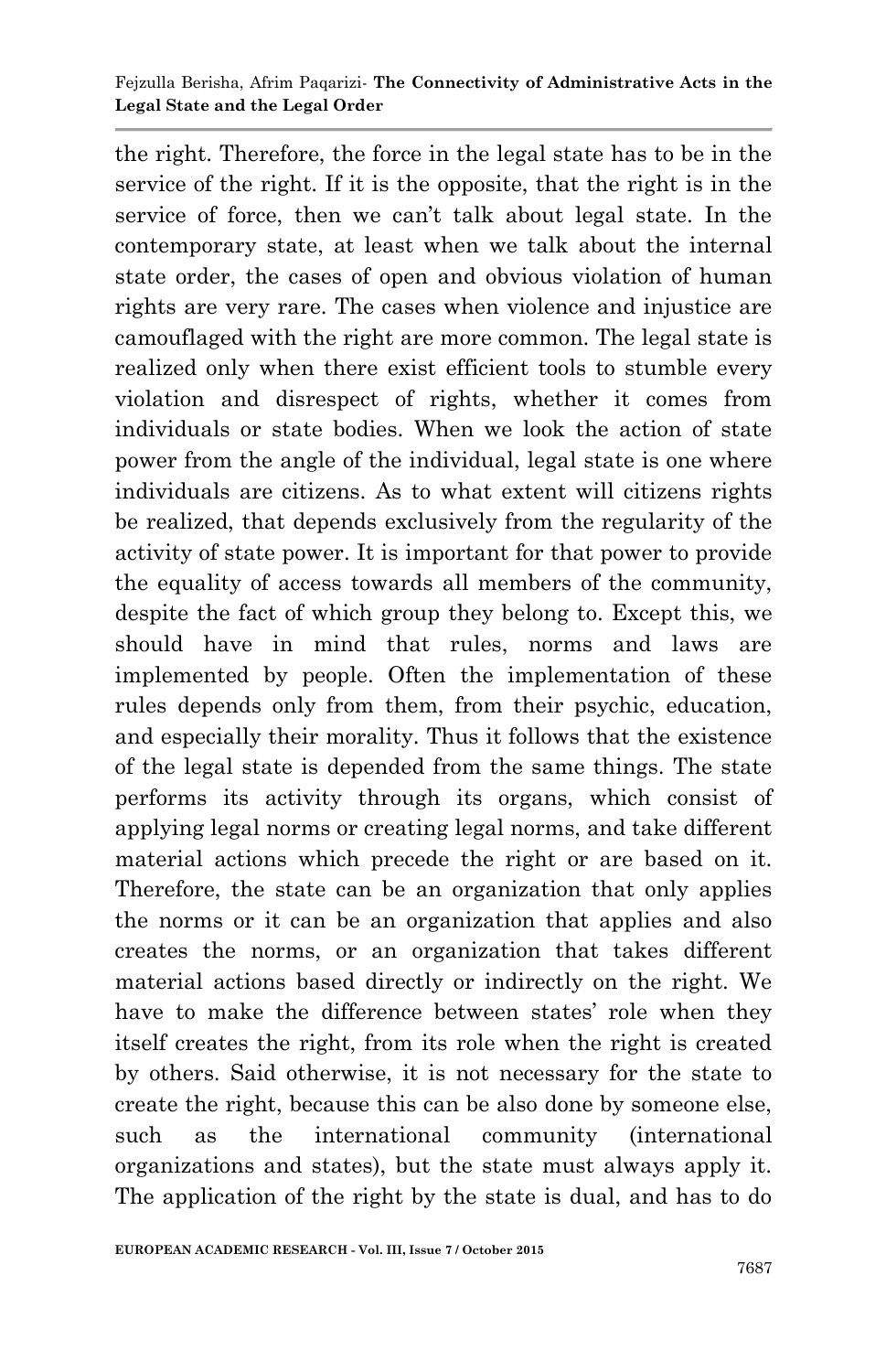the right. Therefore, the force in the legal state has to be in the service of the right. If it is the opposite, that the right is in the service of force, then we can"t talk about legal state. In the contemporary state, at least when we talk about the internal state order, the cases of open and obvious violation of human rights are very rare. The cases when violence and injustice are camouflaged with the right are more common. The legal state is realized only when there exist efficient tools to stumble every violation and disrespect of rights, whether it comes from individuals or state bodies. When we look the action of state power from the angle of the individual, legal state is one where individuals are citizens. As to what extent will citizens rights be realized, that depends exclusively from the regularity of the activity of state power. It is important for that power to provide the equality of access towards all members of the community, despite the fact of which group they belong to. Except this, we should have in mind that rules, norms and laws are implemented by people. Often the implementation of these rules depends only from them, from their psychic, education, and especially their morality. Thus it follows that the existence of the legal state is depended from the same things. The state performs its activity through its organs, which consist of applying legal norms or creating legal norms, and take different material actions which precede the right or are based on it. Therefore, the state can be an organization that only applies the norms or it can be an organization that applies and also creates the norms, or an organization that takes different material actions based directly or indirectly on the right. We have to make the difference between states' role when they itself creates the right, from its role when the right is created by others. Said otherwise, it is not necessary for the state to create the right, because this can be also done by someone else, such as the international community (international organizations and states), but the state must always apply it. The application of the right by the state is dual, and has to do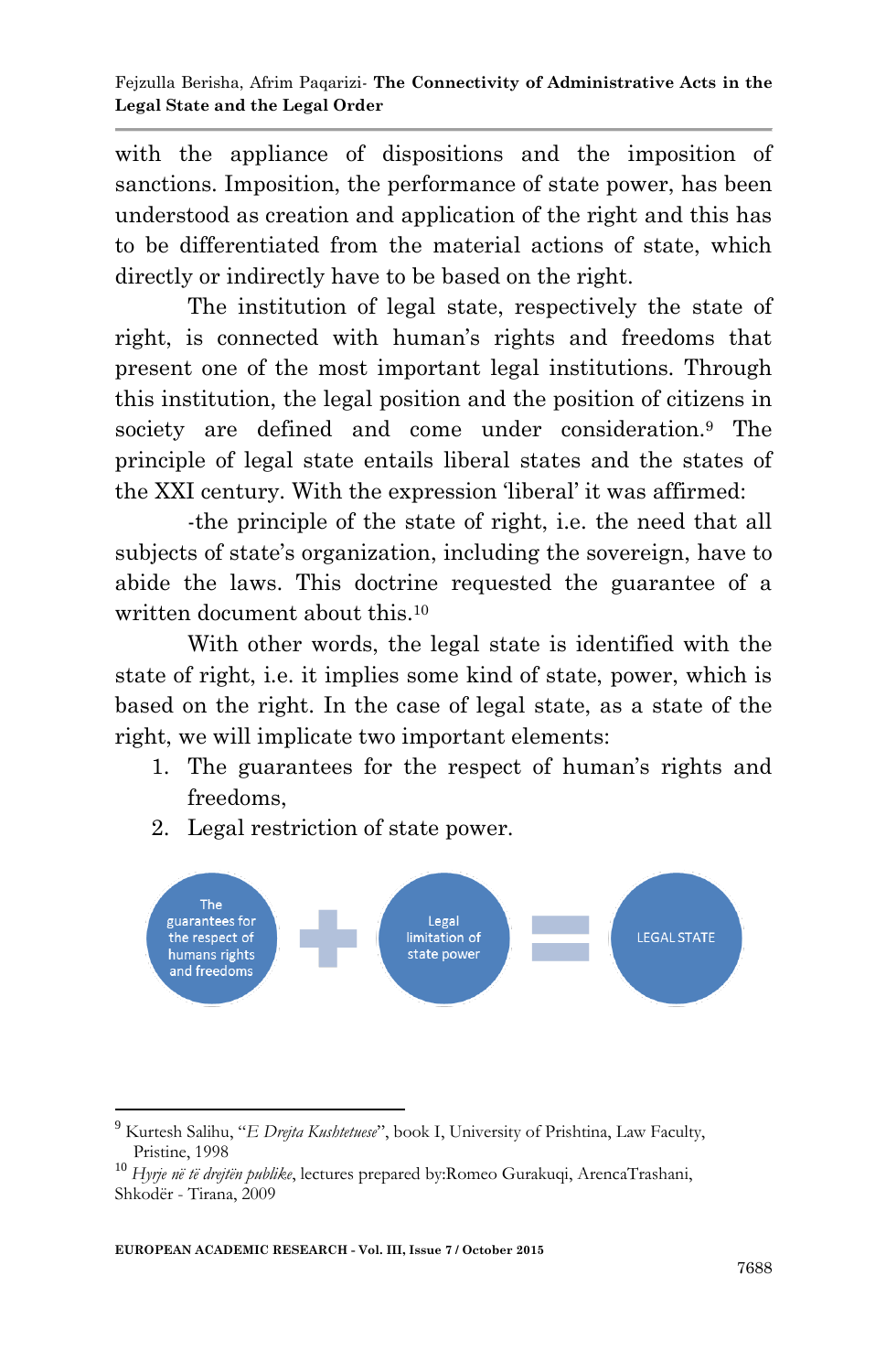with the appliance of dispositions and the imposition of sanctions. Imposition, the performance of state power, has been understood as creation and application of the right and this has to be differentiated from the material actions of state, which directly or indirectly have to be based on the right.

The institution of legal state, respectively the state of right, is connected with human's rights and freedoms that present one of the most important legal institutions. Through this institution, the legal position and the position of citizens in society are defined and come under consideration.<sup>9</sup> The principle of legal state entails liberal states and the states of the XXI century. With the expression "liberal" it was affirmed:

-the principle of the state of right, i.e. the need that all subjects of state's organization, including the sovereign, have to abide the laws. This doctrine requested the guarantee of a written document about this.<sup>10</sup>

With other words, the legal state is identified with the state of right, i.e. it implies some kind of state, power, which is based on the right. In the case of legal state, as a state of the right, we will implicate two important elements:

- 1. The guarantees for the respect of human's rights and freedoms,
- 2. Legal restriction of state power.



**.** 

<sup>9</sup> Kurtesh Salihu, "*E Drejta Kushtetuese*", book I, University of Prishtina, Law Faculty, Pristine, 1998

<sup>10</sup> *Hyrje në të drejtën publike*, lectures prepared by:Romeo Gurakuqi, ArencaTrashani, Shkodër - Tirana, 2009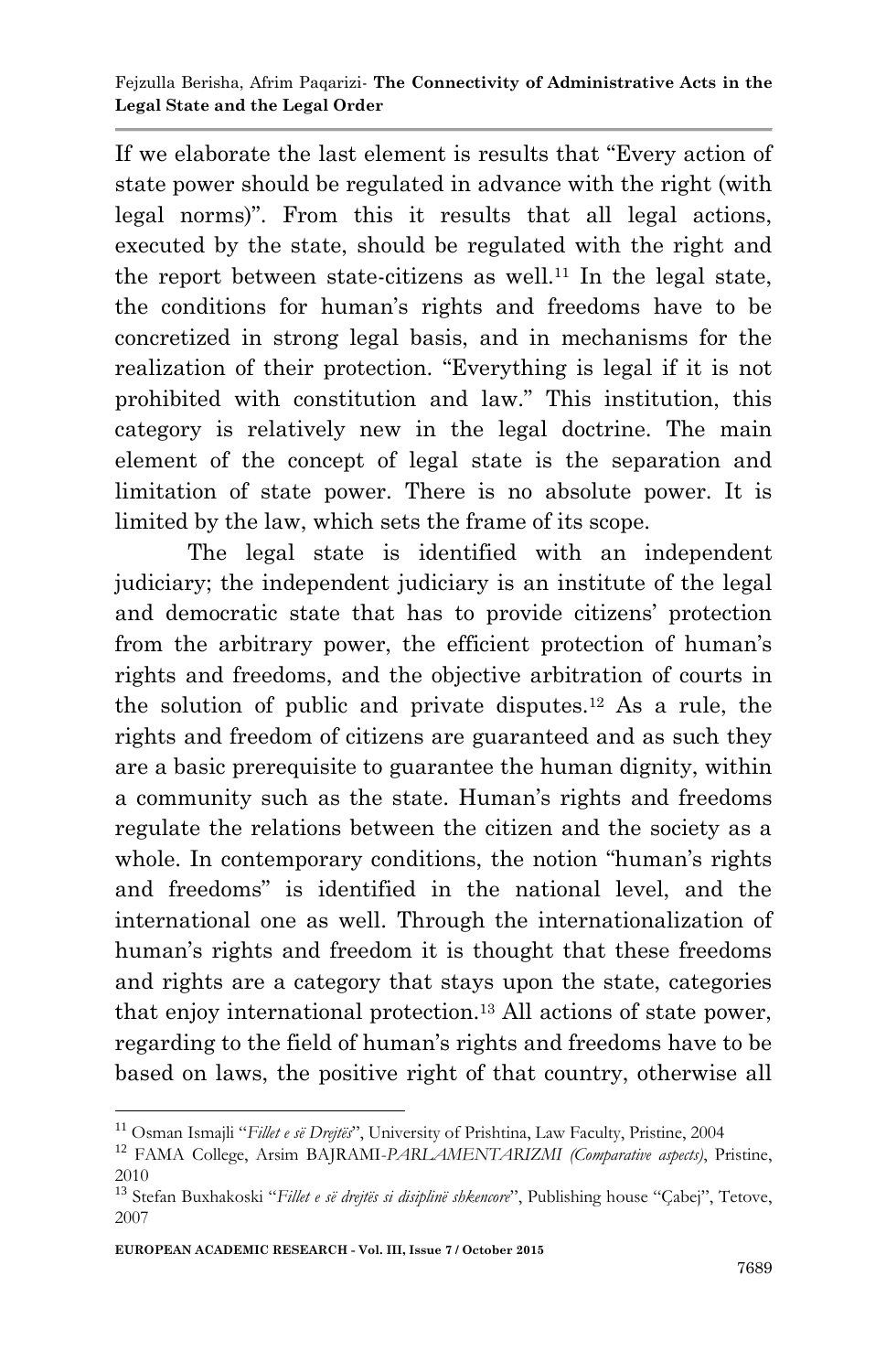If we elaborate the last element is results that "Every action of state power should be regulated in advance with the right (with legal norms)". From this it results that all legal actions, executed by the state, should be regulated with the right and the report between state-citizens as well.<sup>11</sup> In the legal state, the conditions for human"s rights and freedoms have to be concretized in strong legal basis, and in mechanisms for the realization of their protection. "Everything is legal if it is not prohibited with constitution and law." This institution, this category is relatively new in the legal doctrine. The main element of the concept of legal state is the separation and limitation of state power. There is no absolute power. It is limited by the law, which sets the frame of its scope.

The legal state is identified with an independent judiciary; the independent judiciary is an institute of the legal and democratic state that has to provide citizens" protection from the arbitrary power, the efficient protection of human's rights and freedoms, and the objective arbitration of courts in the solution of public and private disputes.<sup>12</sup> As a rule, the rights and freedom of citizens are guaranteed and as such they are a basic prerequisite to guarantee the human dignity, within a community such as the state. Human's rights and freedoms regulate the relations between the citizen and the society as a whole. In contemporary conditions, the notion "human's rights" and freedoms" is identified in the national level, and the international one as well. Through the internationalization of human's rights and freedom it is thought that these freedoms and rights are a category that stays upon the state, categories that enjoy international protection.<sup>13</sup> All actions of state power, regarding to the field of human"s rights and freedoms have to be based on laws, the positive right of that country, otherwise all

**.** 

<sup>11</sup> Osman Ismajli "*Fillet e së Drejtës*", University of Prishtina, Law Faculty, Pristine, 2004

<sup>12</sup> FAMA College, Arsim BAJRAMI-*PARLAMENTARIZMI (Comparative aspects)*, Pristine, 2010

<sup>13</sup> Stefan Buxhakoski "*Fillet e së drejtës si disiplinë shkencore*", Publishing house "Çabej", Tetove, 2007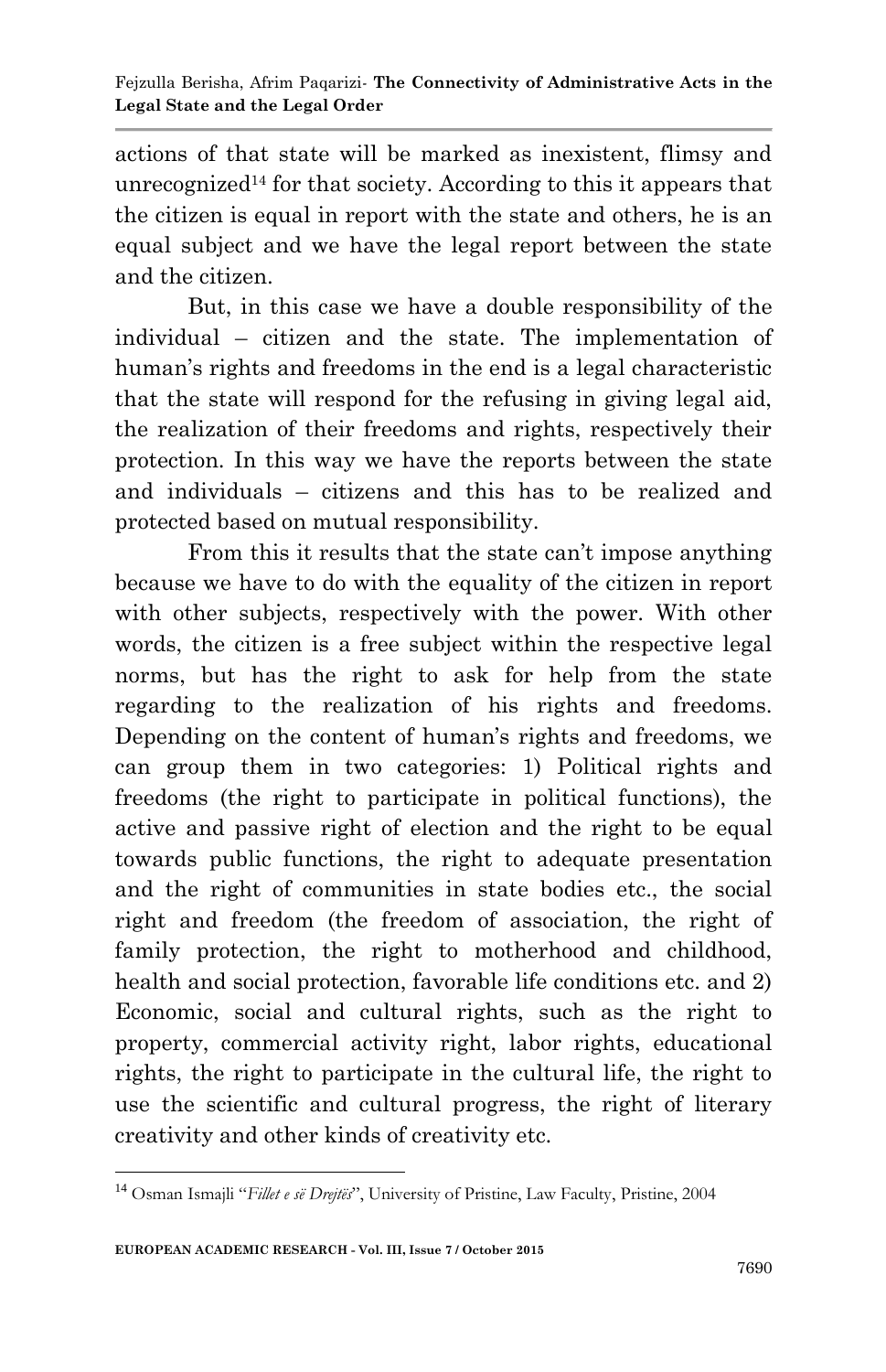actions of that state will be marked as inexistent, flimsy and unrecognized<sup>14</sup> for that society. According to this it appears that the citizen is equal in report with the state and others, he is an equal subject and we have the legal report between the state and the citizen.

But, in this case we have a double responsibility of the individual – citizen and the state. The implementation of human's rights and freedoms in the end is a legal characteristic that the state will respond for the refusing in giving legal aid, the realization of their freedoms and rights, respectively their protection. In this way we have the reports between the state and individuals – citizens and this has to be realized and protected based on mutual responsibility.

From this it results that the state can't impose anything because we have to do with the equality of the citizen in report with other subjects, respectively with the power. With other words, the citizen is a free subject within the respective legal norms, but has the right to ask for help from the state regarding to the realization of his rights and freedoms. Depending on the content of human's rights and freedoms, we can group them in two categories: 1) Political rights and freedoms (the right to participate in political functions), the active and passive right of election and the right to be equal towards public functions, the right to adequate presentation and the right of communities in state bodies etc., the social right and freedom (the freedom of association, the right of family protection, the right to motherhood and childhood, health and social protection, favorable life conditions etc. and 2) Economic, social and cultural rights, such as the right to property, commercial activity right, labor rights, educational rights, the right to participate in the cultural life, the right to use the scientific and cultural progress, the right of literary creativity and other kinds of creativity etc.

**<sup>.</sup>** <sup>14</sup> Osman Ismajli "*Fillet e së Drejtës*", University of Pristine, Law Faculty, Pristine, 2004